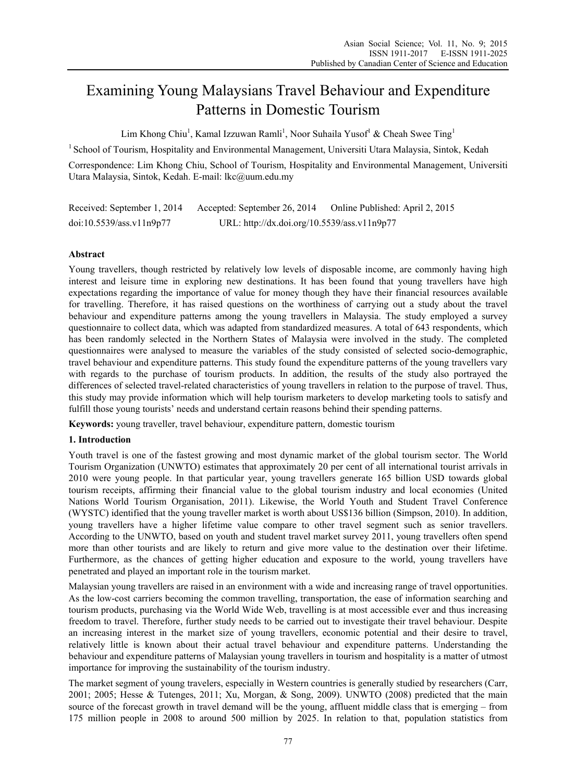# Examining Young Malaysians Travel Behaviour and Expenditure Patterns in Domestic Tourism

Lim Khong Chiu<sup>1</sup>, Kamal Izzuwan Ramli<sup>1</sup>, Noor Suhaila Yusof<sup>1</sup> & Cheah Swee Ting<sup>1</sup>

<sup>1</sup> School of Tourism, Hospitality and Environmental Management, Universiti Utara Malaysia, Sintok, Kedah

Correspondence: Lim Khong Chiu, School of Tourism, Hospitality and Environmental Management, Universiti Utara Malaysia, Sintok, Kedah. E-mail: lkc@uum.edu.my

Received: September 1, 2014 Accepted: September 26, 2014 Online Published: April 2, 2015 doi:10.5539/ass.v11n9p77 URL: http://dx.doi.org/10.5539/ass.v11n9p77

# **Abstract**

Young travellers, though restricted by relatively low levels of disposable income, are commonly having high interest and leisure time in exploring new destinations. It has been found that young travellers have high expectations regarding the importance of value for money though they have their financial resources available for travelling. Therefore, it has raised questions on the worthiness of carrying out a study about the travel behaviour and expenditure patterns among the young travellers in Malaysia. The study employed a survey questionnaire to collect data, which was adapted from standardized measures. A total of 643 respondents, which has been randomly selected in the Northern States of Malaysia were involved in the study. The completed questionnaires were analysed to measure the variables of the study consisted of selected socio-demographic, travel behaviour and expenditure patterns. This study found the expenditure patterns of the young travellers vary with regards to the purchase of tourism products. In addition, the results of the study also portrayed the differences of selected travel-related characteristics of young travellers in relation to the purpose of travel. Thus, this study may provide information which will help tourism marketers to develop marketing tools to satisfy and fulfill those young tourists' needs and understand certain reasons behind their spending patterns.

**Keywords:** young traveller, travel behaviour, expenditure pattern, domestic tourism

# **1. Introduction**

Youth travel is one of the fastest growing and most dynamic market of the global tourism sector. The World Tourism Organization (UNWTO) estimates that approximately 20 per cent of all international tourist arrivals in 2010 were young people. In that particular year, young travellers generate 165 billion USD towards global tourism receipts, affirming their financial value to the global tourism industry and local economies (United Nations World Tourism Organisation, 2011). Likewise, the World Youth and Student Travel Conference (WYSTC) identified that the young traveller market is worth about US\$136 billion (Simpson, 2010). In addition, young travellers have a higher lifetime value compare to other travel segment such as senior travellers. According to the UNWTO, based on youth and student travel market survey 2011, young travellers often spend more than other tourists and are likely to return and give more value to the destination over their lifetime. Furthermore, as the chances of getting higher education and exposure to the world, young travellers have penetrated and played an important role in the tourism market.

Malaysian young travellers are raised in an environment with a wide and increasing range of travel opportunities. As the low-cost carriers becoming the common travelling, transportation, the ease of information searching and tourism products, purchasing via the World Wide Web, travelling is at most accessible ever and thus increasing freedom to travel. Therefore, further study needs to be carried out to investigate their travel behaviour. Despite an increasing interest in the market size of young travellers, economic potential and their desire to travel, relatively little is known about their actual travel behaviour and expenditure patterns. Understanding the behaviour and expenditure patterns of Malaysian young travellers in tourism and hospitality is a matter of utmost importance for improving the sustainability of the tourism industry.

The market segment of young travelers, especially in Western countries is generally studied by researchers (Carr, 2001; 2005; Hesse & Tutenges, 2011; Xu, Morgan, & Song, 2009). UNWTO (2008) predicted that the main source of the forecast growth in travel demand will be the young, affluent middle class that is emerging – from 175 million people in 2008 to around 500 million by 2025. In relation to that, population statistics from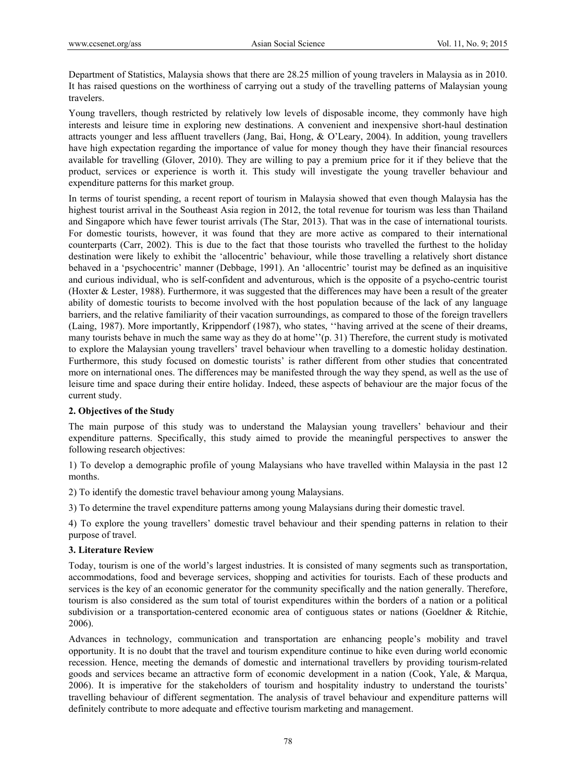Department of Statistics, Malaysia shows that there are 28.25 million of young travelers in Malaysia as in 2010. It has raised questions on the worthiness of carrying out a study of the travelling patterns of Malaysian young travelers.

Young travellers, though restricted by relatively low levels of disposable income, they commonly have high interests and leisure time in exploring new destinations. A convenient and inexpensive short-haul destination attracts younger and less affluent travellers (Jang, Bai, Hong, & O'Leary, 2004). In addition, young travellers have high expectation regarding the importance of value for money though they have their financial resources available for travelling (Glover, 2010). They are willing to pay a premium price for it if they believe that the product, services or experience is worth it. This study will investigate the young traveller behaviour and expenditure patterns for this market group.

In terms of tourist spending, a recent report of tourism in Malaysia showed that even though Malaysia has the highest tourist arrival in the Southeast Asia region in 2012, the total revenue for tourism was less than Thailand and Singapore which have fewer tourist arrivals (The Star, 2013). That was in the case of international tourists. For domestic tourists, however, it was found that they are more active as compared to their international counterparts (Carr, 2002). This is due to the fact that those tourists who travelled the furthest to the holiday destination were likely to exhibit the 'allocentric' behaviour, while those travelling a relatively short distance behaved in a 'psychocentric' manner (Debbage, 1991). An 'allocentric' tourist may be defined as an inquisitive and curious individual, who is self-confident and adventurous, which is the opposite of a psycho-centric tourist (Hoxter & Lester, 1988). Furthermore, it was suggested that the differences may have been a result of the greater ability of domestic tourists to become involved with the host population because of the lack of any language barriers, and the relative familiarity of their vacation surroundings, as compared to those of the foreign travellers (Laing, 1987). More importantly, Krippendorf (1987), who states, ''having arrived at the scene of their dreams, many tourists behave in much the same way as they do at home''(p. 31) Therefore, the current study is motivated to explore the Malaysian young travellers' travel behaviour when travelling to a domestic holiday destination. Furthermore, this study focused on domestic tourists' is rather different from other studies that concentrated more on international ones. The differences may be manifested through the way they spend, as well as the use of leisure time and space during their entire holiday. Indeed, these aspects of behaviour are the major focus of the current study.

# **2. Objectives of the Study**

The main purpose of this study was to understand the Malaysian young travellers' behaviour and their expenditure patterns. Specifically, this study aimed to provide the meaningful perspectives to answer the following research objectives:

1) To develop a demographic profile of young Malaysians who have travelled within Malaysia in the past 12 months.

2) To identify the domestic travel behaviour among young Malaysians.

3) To determine the travel expenditure patterns among young Malaysians during their domestic travel.

4) To explore the young travellers' domestic travel behaviour and their spending patterns in relation to their purpose of travel.

#### **3. Literature Review**

Today, tourism is one of the world's largest industries. It is consisted of many segments such as transportation, accommodations, food and beverage services, shopping and activities for tourists. Each of these products and services is the key of an economic generator for the community specifically and the nation generally. Therefore, tourism is also considered as the sum total of tourist expenditures within the borders of a nation or a political subdivision or a transportation-centered economic area of contiguous states or nations (Goeldner & Ritchie, 2006).

Advances in technology, communication and transportation are enhancing people's mobility and travel opportunity. It is no doubt that the travel and tourism expenditure continue to hike even during world economic recession. Hence, meeting the demands of domestic and international travellers by providing tourism-related goods and services became an attractive form of economic development in a nation (Cook, Yale, & Marqua, 2006). It is imperative for the stakeholders of tourism and hospitality industry to understand the tourists' travelling behaviour of different segmentation. The analysis of travel behaviour and expenditure patterns will definitely contribute to more adequate and effective tourism marketing and management.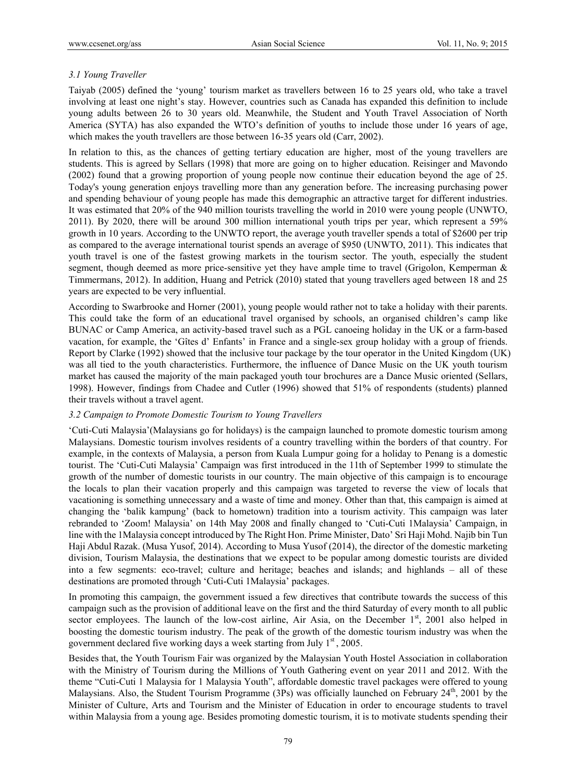# *3.1 Young Traveller*

Taiyab (2005) defined the 'young' tourism market as travellers between 16 to 25 years old, who take a travel involving at least one night's stay. However, countries such as Canada has expanded this definition to include young adults between 26 to 30 years old. Meanwhile, the Student and Youth Travel Association of North America (SYTA) has also expanded the WTO's definition of youths to include those under 16 years of age, which makes the youth travellers are those between 16-35 years old (Carr, 2002).

In relation to this, as the chances of getting tertiary education are higher, most of the young travellers are students. This is agreed by Sellars (1998) that more are going on to higher education. Reisinger and Mavondo (2002) found that a growing proportion of young people now continue their education beyond the age of 25. Today's young generation enjoys travelling more than any generation before. The increasing purchasing power and spending behaviour of young people has made this demographic an attractive target for different industries. It was estimated that 20% of the 940 million tourists travelling the world in 2010 were young people (UNWTO, 2011). By 2020, there will be around 300 million international youth trips per year, which represent a 59% growth in 10 years. According to the UNWTO report, the average youth traveller spends a total of \$2600 per trip as compared to the average international tourist spends an average of \$950 (UNWTO, 2011). This indicates that youth travel is one of the fastest growing markets in the tourism sector. The youth, especially the student segment, though deemed as more price-sensitive yet they have ample time to travel (Grigolon, Kemperman & Timmermans, 2012). In addition, Huang and Petrick (2010) stated that young travellers aged between 18 and 25 years are expected to be very influential.

According to Swarbrooke and Horner (2001), young people would rather not to take a holiday with their parents. This could take the form of an educational travel organised by schools, an organised children's camp like BUNAC or Camp America, an activity-based travel such as a PGL canoeing holiday in the UK or a farm-based vacation, for example, the 'Gîtes d' Enfants' in France and a single-sex group holiday with a group of friends. Report by Clarke (1992) showed that the inclusive tour package by the tour operator in the United Kingdom (UK) was all tied to the youth characteristics. Furthermore, the influence of Dance Music on the UK youth tourism market has caused the majority of the main packaged youth tour brochures are a Dance Music oriented (Sellars, 1998). However, findings from Chadee and Cutler (1996) showed that 51% of respondents (students) planned their travels without a travel agent.

# *3.2 Campaign to Promote Domestic Tourism to Young Travellers*

'Cuti-Cuti Malaysia'(Malaysians go for holidays) is the campaign launched to promote domestic tourism among Malaysians. Domestic tourism involves residents of a country travelling within the borders of that country. For example, in the contexts of Malaysia, a person from Kuala Lumpur going for a holiday to Penang is a domestic tourist. The 'Cuti-Cuti Malaysia' Campaign was first introduced in the 11th of September 1999 to stimulate the growth of the number of domestic tourists in our country. The main objective of this campaign is to encourage the locals to plan their vacation properly and this campaign was targeted to reverse the view of locals that vacationing is something unnecessary and a waste of time and money. Other than that, this campaign is aimed at changing the 'balik kampung' (back to hometown) tradition into a tourism activity. This campaign was later rebranded to 'Zoom! Malaysia' on 14th May 2008 and finally changed to 'Cuti-Cuti 1Malaysia' Campaign, in line with the 1Malaysia concept introduced by The Right Hon. Prime Minister, Dato' Sri Haji Mohd. Najib bin Tun Haji Abdul Razak. (Musa Yusof, 2014). According to Musa Yusof (2014), the director of the domestic marketing division, Tourism Malaysia, the destinations that we expect to be popular among domestic tourists are divided into a few segments: eco-travel; culture and heritage; beaches and islands; and highlands – all of these destinations are promoted through 'Cuti-Cuti 1Malaysia' packages.

In promoting this campaign, the government issued a few directives that contribute towards the success of this campaign such as the provision of additional leave on the first and the third Saturday of every month to all public sector employees. The launch of the low-cost airline, Air Asia, on the December 1st, 2001 also helped in boosting the domestic tourism industry. The peak of the growth of the domestic tourism industry was when the government declared five working days a week starting from July  $1<sup>st</sup>$ , 2005.

Besides that, the Youth Tourism Fair was organized by the Malaysian Youth Hostel Association in collaboration with the Ministry of Tourism during the Millions of Youth Gathering event on year 2011 and 2012. With the theme "Cuti-Cuti 1 Malaysia for 1 Malaysia Youth", affordable domestic travel packages were offered to young Malaysians. Also, the Student Tourism Programme (3Ps) was officially launched on February  $24<sup>th</sup>$ , 2001 by the Minister of Culture, Arts and Tourism and the Minister of Education in order to encourage students to travel within Malaysia from a young age. Besides promoting domestic tourism, it is to motivate students spending their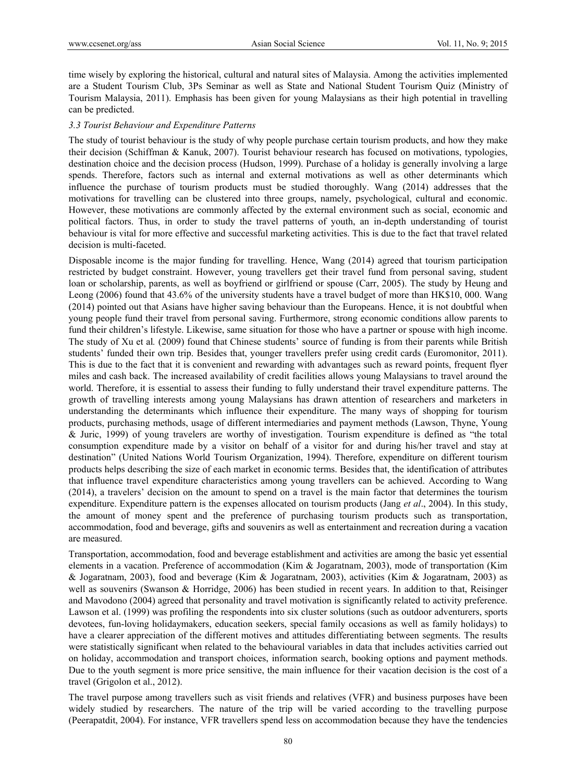time wisely by exploring the historical, cultural and natural sites of Malaysia. Among the activities implemented are a Student Tourism Club, 3Ps Seminar as well as State and National Student Tourism Quiz (Ministry of Tourism Malaysia, 2011). Emphasis has been given for young Malaysians as their high potential in travelling can be predicted.

#### *3.3 Tourist Behaviour and Expenditure Patterns*

The study of tourist behaviour is the study of why people purchase certain tourism products, and how they make their decision (Schiffman & Kanuk, 2007). Tourist behaviour research has focused on motivations, typologies, destination choice and the decision process (Hudson, 1999). Purchase of a holiday is generally involving a large spends. Therefore, factors such as internal and external motivations as well as other determinants which influence the purchase of tourism products must be studied thoroughly. Wang (2014) addresses that the motivations for travelling can be clustered into three groups, namely, psychological, cultural and economic. However, these motivations are commonly affected by the external environment such as social, economic and political factors. Thus, in order to study the travel patterns of youth, an in-depth understanding of tourist behaviour is vital for more effective and successful marketing activities. This is due to the fact that travel related decision is multi-faceted.

Disposable income is the major funding for travelling. Hence, Wang (2014) agreed that tourism participation restricted by budget constraint. However, young travellers get their travel fund from personal saving, student loan or scholarship, parents, as well as boyfriend or girlfriend or spouse (Carr, 2005). The study by Heung and Leong (2006) found that 43.6% of the university students have a travel budget of more than HK\$10, 000. Wang (2014) pointed out that Asians have higher saving behaviour than the Europeans. Hence, it is not doubtful when young people fund their travel from personal saving. Furthermore, strong economic conditions allow parents to fund their children's lifestyle. Likewise, same situation for those who have a partner or spouse with high income. The study of Xu et al*.* (2009) found that Chinese students' source of funding is from their parents while British students' funded their own trip. Besides that, younger travellers prefer using credit cards (Euromonitor, 2011). This is due to the fact that it is convenient and rewarding with advantages such as reward points, frequent flyer miles and cash back. The increased availability of credit facilities allows young Malaysians to travel around the world. Therefore, it is essential to assess their funding to fully understand their travel expenditure patterns. The growth of travelling interests among young Malaysians has drawn attention of researchers and marketers in understanding the determinants which influence their expenditure. The many ways of shopping for tourism products, purchasing methods, usage of different intermediaries and payment methods (Lawson, Thyne, Young & Juric, 1999) of young travelers are worthy of investigation. Tourism expenditure is defined as "the total consumption expenditure made by a visitor on behalf of a visitor for and during his/her travel and stay at destination" (United Nations World Tourism Organization, 1994). Therefore, expenditure on different tourism products helps describing the size of each market in economic terms. Besides that, the identification of attributes that influence travel expenditure characteristics among young travellers can be achieved. According to Wang (2014), a travelers' decision on the amount to spend on a travel is the main factor that determines the tourism expenditure. Expenditure pattern is the expenses allocated on tourism products (Jang *et al*., 2004). In this study, the amount of money spent and the preference of purchasing tourism products such as transportation, accommodation, food and beverage, gifts and souvenirs as well as entertainment and recreation during a vacation are measured.

Transportation, accommodation, food and beverage establishment and activities are among the basic yet essential elements in a vacation. Preference of accommodation (Kim & Jogaratnam, 2003), mode of transportation (Kim & Jogaratnam, 2003), food and beverage (Kim & Jogaratnam, 2003), activities (Kim & Jogaratnam, 2003) as well as souvenirs (Swanson & Horridge, 2006) has been studied in recent years. In addition to that, Reisinger and Mavodono (2004) agreed that personality and travel motivation is significantly related to activity preference. Lawson et al. (1999) was profiling the respondents into six cluster solutions (such as outdoor adventurers, sports devotees, fun-loving holidaymakers, education seekers, special family occasions as well as family holidays) to have a clearer appreciation of the different motives and attitudes differentiating between segments. The results were statistically significant when related to the behavioural variables in data that includes activities carried out on holiday, accommodation and transport choices, information search, booking options and payment methods. Due to the youth segment is more price sensitive, the main influence for their vacation decision is the cost of a travel (Grigolon et al., 2012).

The travel purpose among travellers such as visit friends and relatives (VFR) and business purposes have been widely studied by researchers. The nature of the trip will be varied according to the travelling purpose (Peerapatdit, 2004). For instance, VFR travellers spend less on accommodation because they have the tendencies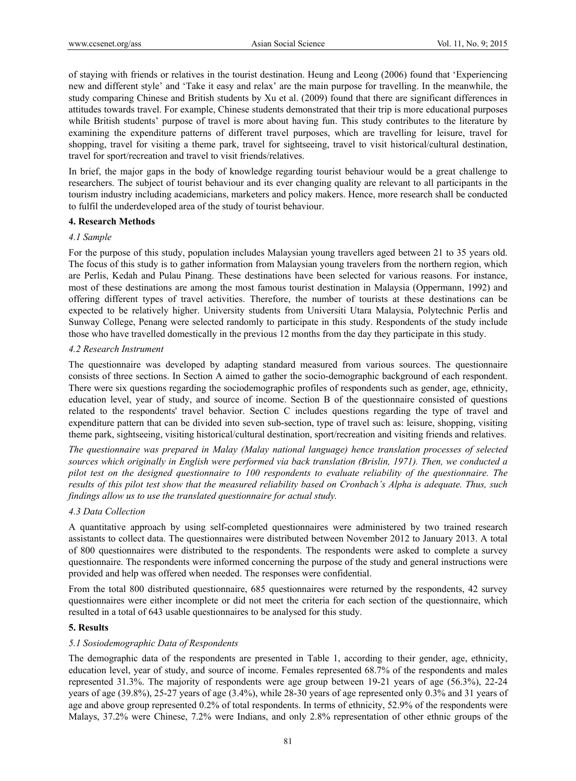of staying with friends or relatives in the tourist destination. Heung and Leong (2006) found that 'Experiencing new and different style' and 'Take it easy and relax' are the main purpose for travelling. In the meanwhile, the study comparing Chinese and British students by Xu et al. (2009) found that there are significant differences in attitudes towards travel. For example, Chinese students demonstrated that their trip is more educational purposes while British students' purpose of travel is more about having fun. This study contributes to the literature by examining the expenditure patterns of different travel purposes, which are travelling for leisure, travel for shopping, travel for visiting a theme park, travel for sightseeing, travel to visit historical/cultural destination, travel for sport/recreation and travel to visit friends/relatives.

In brief, the major gaps in the body of knowledge regarding tourist behaviour would be a great challenge to researchers. The subject of tourist behaviour and its ever changing quality are relevant to all participants in the tourism industry including academicians, marketers and policy makers. Hence, more research shall be conducted to fulfil the underdeveloped area of the study of tourist behaviour.

## **4. Research Methods**

## *4.1 Sample*

For the purpose of this study, population includes Malaysian young travellers aged between 21 to 35 years old. The focus of this study is to gather information from Malaysian young travelers from the northern region, which are Perlis, Kedah and Pulau Pinang. These destinations have been selected for various reasons. For instance, most of these destinations are among the most famous tourist destination in Malaysia (Oppermann, 1992) and offering different types of travel activities. Therefore, the number of tourists at these destinations can be expected to be relatively higher. University students from Universiti Utara Malaysia, Polytechnic Perlis and Sunway College, Penang were selected randomly to participate in this study. Respondents of the study include those who have travelled domestically in the previous 12 months from the day they participate in this study.

## *4.2 Research Instrument*

The questionnaire was developed by adapting standard measured from various sources. The questionnaire consists of three sections. In Section A aimed to gather the socio-demographic background of each respondent. There were six questions regarding the sociodemographic profiles of respondents such as gender, age, ethnicity, education level, year of study, and source of income. Section B of the questionnaire consisted of questions related to the respondents' travel behavior. Section C includes questions regarding the type of travel and expenditure pattern that can be divided into seven sub-section, type of travel such as: leisure, shopping, visiting theme park, sightseeing, visiting historical/cultural destination, sport/recreation and visiting friends and relatives.

*The questionnaire was prepared in Malay (Malay national language) hence translation processes of selected sources which originally in English were performed via back translation (Brislin, 1971). Then, we conducted a pilot test on the designed questionnaire to 100 respondents to evaluate reliability of the questionnaire. The results of this pilot test show that the measured reliability based on Cronbach's Alpha is adequate. Thus, such findings allow us to use the translated questionnaire for actual study.*

# *4.3 Data Collection*

A quantitative approach by using self-completed questionnaires were administered by two trained research assistants to collect data. The questionnaires were distributed between November 2012 to January 2013. A total of 800 questionnaires were distributed to the respondents. The respondents were asked to complete a survey questionnaire. The respondents were informed concerning the purpose of the study and general instructions were provided and help was offered when needed. The responses were confidential.

From the total 800 distributed questionnaire, 685 questionnaires were returned by the respondents, 42 survey questionnaires were either incomplete or did not meet the criteria for each section of the questionnaire, which resulted in a total of 643 usable questionnaires to be analysed for this study.

# **5. Results**

# *5.1 Sosiodemographic Data of Respondents*

The demographic data of the respondents are presented in Table 1, according to their gender, age, ethnicity, education level, year of study, and source of income. Females represented 68.7% of the respondents and males represented 31.3%. The majority of respondents were age group between 19-21 years of age (56.3%), 22-24 years of age (39.8%), 25-27 years of age (3.4%), while 28-30 years of age represented only 0.3% and 31 years of age and above group represented 0.2% of total respondents. In terms of ethnicity, 52.9% of the respondents were Malays, 37.2% were Chinese, 7.2% were Indians, and only 2.8% representation of other ethnic groups of the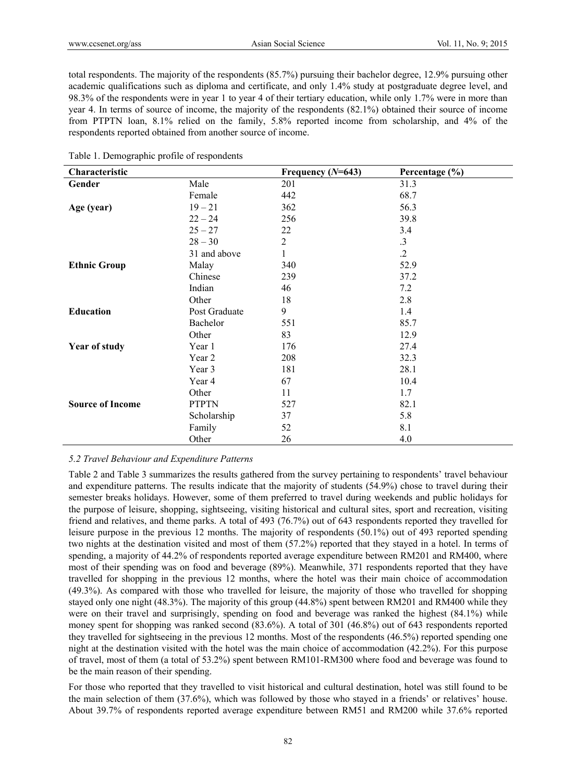total respondents. The majority of the respondents (85.7%) pursuing their bachelor degree, 12.9% pursuing other academic qualifications such as diploma and certificate, and only 1.4% study at postgraduate degree level, and 98.3% of the respondents were in year 1 to year 4 of their tertiary education, while only 1.7% were in more than year 4. In terms of source of income, the majority of the respondents (82.1%) obtained their source of income from PTPTN loan, 8.1% relied on the family, 5.8% reported income from scholarship, and 4% of the respondents reported obtained from another source of income.

| Characteristic          |               | Frequency $(N=643)$ | Percentage $(\% )$ |
|-------------------------|---------------|---------------------|--------------------|
| Gender                  | Male          | 201                 | 31.3               |
|                         | Female        | 442                 | 68.7               |
| Age (year)              | $19 - 21$     | 362                 | 56.3               |
|                         | $22 - 24$     | 256                 | 39.8               |
|                         | $25 - 27$     | 22                  | 3.4                |
|                         | $28 - 30$     | $\overline{2}$      | $\cdot$ 3          |
|                         | 31 and above  | 1                   | $\cdot$            |
| <b>Ethnic Group</b>     | Malay         | 340                 | 52.9               |
|                         | Chinese       | 239                 | 37.2               |
|                         | Indian        | 46                  | 7.2                |
|                         | Other         | 18                  | 2.8                |
| <b>Education</b>        | Post Graduate | 9                   | 1.4                |
|                         | Bachelor      | 551                 | 85.7               |
|                         | Other         | 83                  | 12.9               |
| Year of study           | Year 1        | 176                 | 27.4               |
|                         | Year 2        | 208                 | 32.3               |
|                         | Year 3        | 181                 | 28.1               |
|                         | Year 4        | 67                  | 10.4               |
|                         | Other         | 11                  | 1.7                |
| <b>Source of Income</b> | <b>PTPTN</b>  | 527                 | 82.1               |
|                         | Scholarship   | 37                  | 5.8                |
|                         | Family        | 52                  | 8.1                |
|                         | Other         | 26                  | 4.0                |

Table 1. Demographic profile of respondents

# *5.2 Travel Behaviour and Expenditure Patterns*

Table 2 and Table 3 summarizes the results gathered from the survey pertaining to respondents' travel behaviour and expenditure patterns. The results indicate that the majority of students (54.9%) chose to travel during their semester breaks holidays. However, some of them preferred to travel during weekends and public holidays for the purpose of leisure, shopping, sightseeing, visiting historical and cultural sites, sport and recreation, visiting friend and relatives, and theme parks. A total of 493 (76.7%) out of 643 respondents reported they travelled for leisure purpose in the previous 12 months. The majority of respondents (50.1%) out of 493 reported spending two nights at the destination visited and most of them (57.2%) reported that they stayed in a hotel. In terms of spending, a majority of 44.2% of respondents reported average expenditure between RM201 and RM400, where most of their spending was on food and beverage (89%). Meanwhile, 371 respondents reported that they have travelled for shopping in the previous 12 months, where the hotel was their main choice of accommodation (49.3%). As compared with those who travelled for leisure, the majority of those who travelled for shopping stayed only one night (48.3%). The majority of this group (44.8%) spent between RM201 and RM400 while they were on their travel and surprisingly, spending on food and beverage was ranked the highest (84.1%) while money spent for shopping was ranked second (83.6%). A total of 301 (46.8%) out of 643 respondents reported they travelled for sightseeing in the previous 12 months. Most of the respondents (46.5%) reported spending one night at the destination visited with the hotel was the main choice of accommodation (42.2%). For this purpose of travel, most of them (a total of 53.2%) spent between RM101-RM300 where food and beverage was found to be the main reason of their spending.

For those who reported that they travelled to visit historical and cultural destination, hotel was still found to be the main selection of them (37.6%), which was followed by those who stayed in a friends' or relatives' house. About 39.7% of respondents reported average expenditure between RM51 and RM200 while 37.6% reported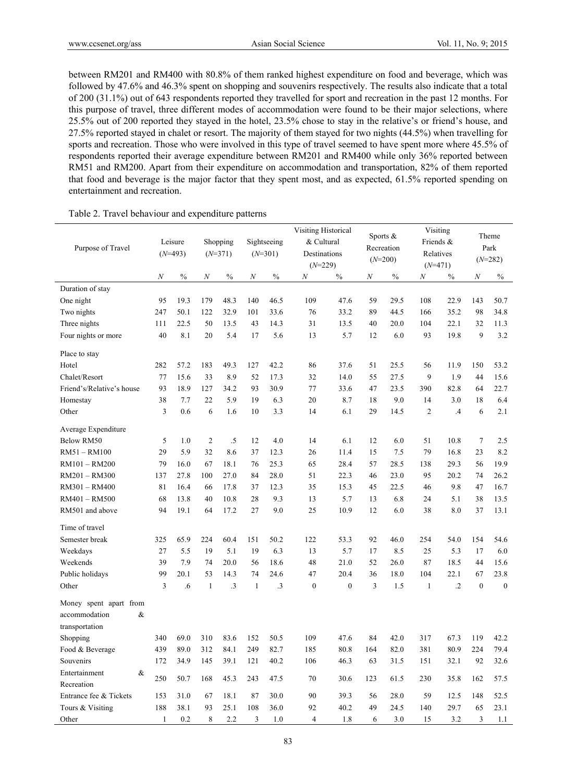between RM201 and RM400 with 80.8% of them ranked highest expenditure on food and beverage, which was followed by 47.6% and 46.3% spent on shopping and souvenirs respectively. The results also indicate that a total of 200 (31.1%) out of 643 respondents reported they travelled for sport and recreation in the past 12 months. For this purpose of travel, three different modes of accommodation were found to be their major selections, where 25.5% out of 200 reported they stayed in the hotel, 23.5% chose to stay in the relative's or friend's house, and 27.5% reported stayed in chalet or resort. The majority of them stayed for two nights (44.5%) when travelling for sports and recreation. Those who were involved in this type of travel seemed to have spent more where 45.5% of respondents reported their average expenditure between RM201 and RM400 while only 36% reported between RM51 and RM200. Apart from their expenditure on accommodation and transportation, 82% of them reported that food and beverage is the major factor that they spent most, and as expected, 61.5% reported spending on entertainment and recreation.

| Purpose of Travel                |     | Leisure<br>$(N=493)$ |                | Shopping<br>$(N=371)$ |              | Sightseeing<br>$(N=301)$ | Visiting Historical<br>& Cultural<br>Destinations<br>$(N=229)$ |                  |     | Sports $\&$<br>Recreation<br>$(N=200)$ | Visiting<br>Friends &<br>Relatives<br>$(N=471)$ |                |              | Theme<br>Park<br>$(N=282)$ |
|----------------------------------|-----|----------------------|----------------|-----------------------|--------------|--------------------------|----------------------------------------------------------------|------------------|-----|----------------------------------------|-------------------------------------------------|----------------|--------------|----------------------------|
|                                  | N   | $\%$                 | N              | $\%$                  | N            | $\%$                     | N                                                              | $\%$             | N   | $\%$                                   | Ν                                               | $\%$           | N            | $\%$                       |
| Duration of stay                 |     |                      |                |                       |              |                          |                                                                |                  |     |                                        |                                                 |                |              |                            |
| One night                        | 95  | 19.3                 | 179            | 48.3                  | 140          | 46.5                     | 109                                                            | 47.6             | 59  | 29.5                                   | 108                                             | 22.9           | 143          | 50.7                       |
| Two nights                       | 247 | 50.1                 | 122            | 32.9                  | 101          | 33.6                     | 76                                                             | 33.2             | 89  | 44.5                                   | 166                                             | 35.2           | 98           | 34.8                       |
| Three nights                     | 111 | 22.5                 | 50             | 13.5                  | 43           | 14.3                     | 31                                                             | 13.5             | 40  | 20.0                                   | 104                                             | 22.1           | 32           | 11.3                       |
| Four nights or more              | 40  | 8.1                  | 20             | 5.4                   | 17           | 5.6                      | 13                                                             | 5.7              | 12  | 6.0                                    | 93                                              | 19.8           | 9            | 3.2                        |
| Place to stay                    |     |                      |                |                       |              |                          |                                                                |                  |     |                                        |                                                 |                |              |                            |
| Hotel                            | 282 | 57.2                 | 183            | 49.3                  | 127          | 42.2                     | 86                                                             | 37.6             | 51  | 25.5                                   | 56                                              | 11.9           | 150          | 53.2                       |
| Chalet/Resort                    | 77  | 15.6                 | 33             | 8.9                   | 52           | 17.3                     | 32                                                             | 14.0             | 55  | 27.5                                   | 9                                               | 1.9            | 44           | 15.6                       |
| Friend's/Relative's house        | 93  | 18.9                 | 127            | 34.2                  | 93           | 30.9                     | 77                                                             | 33.6             | 47  | 23.5                                   | 390                                             | 82.8           | 64           | 22.7                       |
| Homestay                         | 38  | 7.7                  | 22             | 5.9                   | 19           | 6.3                      | 20                                                             | 8.7              | 18  | 9.0                                    | 14                                              | 3.0            | 18           | 6.4                        |
| Other                            | 3   | 0.6                  | 6              | 1.6                   | 10           | 3.3                      | 14                                                             | 6.1              | 29  | 14.5                                   | $\overline{c}$                                  | $\mathcal{A}$  | 6            | 2.1                        |
| Average Expenditure              |     |                      |                |                       |              |                          |                                                                |                  |     |                                        |                                                 |                |              |                            |
| Below RM50                       | 5   | 1.0                  | $\overline{c}$ | $.5\,$                | 12           | 4.0                      | 14                                                             | 6.1              | 12  | 6.0                                    | 51                                              | 10.8           | $\tau$       | 2.5                        |
| RM51-RM100                       | 29  | 5.9                  | 32             | 8.6                   | 37           | 12.3                     | 26                                                             | 11.4             | 15  | 7.5                                    | 79                                              | 16.8           | 23           | 8.2                        |
| RM101 - RM200                    | 79  | 16.0                 | 67             | 18.1                  | 76           | 25.3                     | 65                                                             | 28.4             | 57  | 28.5                                   | 138                                             | 29.3           | 56           | 19.9                       |
| RM201 - RM300                    | 137 | 27.8                 | 100            | 27.0                  | 84           | 28.0                     | 51                                                             | 22.3             | 46  | 23.0                                   | 95                                              | 20.2           | 74           | 26.2                       |
| RM301 - RM400                    | 81  | 16.4                 | 66             | 17.8                  | 37           | 12.3                     | 35                                                             | 15.3             | 45  | 22.5                                   | 46                                              | 9.8            | 47           | 16.7                       |
| RM401 - RM500                    | 68  | 13.8                 | 40             | 10.8                  | 28           | 9.3                      | 13                                                             | 5.7              | 13  | 6.8                                    | 24                                              | 5.1            | 38           | 13.5                       |
| RM501 and above                  | 94  | 19.1                 | 64             | 17.2                  | 27           | 9.0                      | 25                                                             | 10.9             | 12  | 6.0                                    | 38                                              | 8.0            | 37           | 13.1                       |
| Time of travel                   |     |                      |                |                       |              |                          |                                                                |                  |     |                                        |                                                 |                |              |                            |
| Semester break                   | 325 | 65.9                 | 224            | 60.4                  | 151          | 50.2                     | 122                                                            | 53.3             | 92  | 46.0                                   | 254                                             | 54.0           | 154          | 54.6                       |
| Weekdays                         | 27  | 5.5                  | 19             | 5.1                   | 19           | 6.3                      | 13                                                             | 5.7              | 17  | 8.5                                    | 25                                              | 5.3            | 17           | 6.0                        |
| Weekends                         | 39  | 7.9                  | 74             | 20.0                  | 56           | 18.6                     | 48                                                             | 21.0             | 52  | 26.0                                   | 87                                              | 18.5           | 44           | 15.6                       |
| Public holidays                  | 99  | 20.1                 | 53             | 14.3                  | 74           | 24.6                     | 47                                                             | 20.4             | 36  | 18.0                                   | 104                                             | 22.1           | 67           | 23.8                       |
| Other                            | 3   | .6                   | 1              | $\cdot$ 3             | $\mathbf{1}$ | $\cdot$ 3                | $\boldsymbol{0}$                                               | $\boldsymbol{0}$ | 3   | 1.5                                    | 1                                               | $\overline{2}$ | $\mathbf{0}$ | $\mathbf{0}$               |
| Money spent apart from           |     |                      |                |                       |              |                          |                                                                |                  |     |                                        |                                                 |                |              |                            |
| accommodation<br>&               |     |                      |                |                       |              |                          |                                                                |                  |     |                                        |                                                 |                |              |                            |
| transportation                   |     |                      |                |                       |              |                          |                                                                |                  |     |                                        |                                                 |                |              |                            |
| Shopping                         | 340 | 69.0                 | 310            | 83.6                  | 152          | 50.5                     | 109                                                            | 47.6             | 84  | 42.0                                   | 317                                             | 67.3           | 119          | 42.2                       |
| Food & Beverage                  | 439 | 89.0                 | 312            | 84.1                  | 249          | 82.7                     | 185                                                            | 80.8             | 164 | 82.0                                   | 381                                             | 80.9           | 224          | 79.4                       |
| Souvenirs                        | 172 | 34.9                 | 145            | 39.1                  | 121          | 40.2                     | 106                                                            | 46.3             | 63  | 31.5                                   | 151                                             | 32.1           | 92           | 32.6                       |
| Entertainment<br>&<br>Recreation | 250 | 50.7                 | 168            | 45.3                  | 243          | 47.5                     | 70                                                             | 30.6             | 123 | 61.5                                   | 230                                             | 35.8           | 162          | 57.5                       |
| Entrance fee & Tickets           | 153 | 31.0                 | 67             | 18.1                  | 87           | 30.0                     | 90                                                             | 39.3             | 56  | 28.0                                   | 59                                              | 12.5           | 148          | 52.5                       |
| Tours & Visiting                 | 188 | 38.1                 | 93             | 25.1                  | 108          | 36.0                     | 92                                                             | 40.2             | 49  | 24.5                                   | 140                                             | 29.7           | 65           | 23.1                       |
| Other                            | 1   | 0.2                  | 8              | 2.2                   | 3            | 1.0                      | $\overline{4}$                                                 | 1.8              | 6   | 3.0                                    | 15                                              | 3.2            | 3            | 1.1                        |

# Table 2. Travel behaviour and expenditure patterns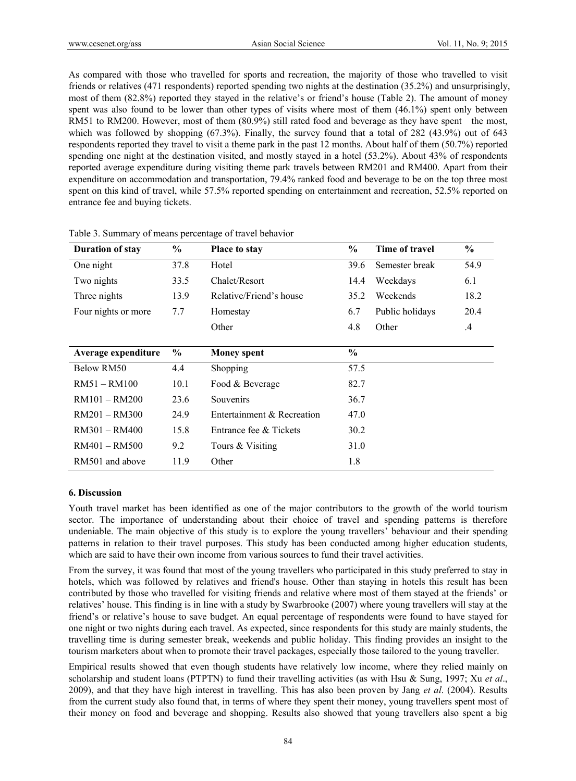As compared with those who travelled for sports and recreation, the majority of those who travelled to visit friends or relatives (471 respondents) reported spending two nights at the destination (35.2%) and unsurprisingly, most of them (82.8%) reported they stayed in the relative's or friend's house (Table 2). The amount of money spent was also found to be lower than other types of visits where most of them (46.1%) spent only between RM51 to RM200. However, most of them (80.9%) still rated food and beverage as they have spent the most, which was followed by shopping (67.3%). Finally, the survey found that a total of 282 (43.9%) out of 643 respondents reported they travel to visit a theme park in the past 12 months. About half of them (50.7%) reported spending one night at the destination visited, and mostly stayed in a hotel (53.2%). About 43% of respondents reported average expenditure during visiting theme park travels between RM201 and RM400. Apart from their expenditure on accommodation and transportation, 79.4% ranked food and beverage to be on the top three most spent on this kind of travel, while 57.5% reported spending on entertainment and recreation, 52.5% reported on entrance fee and buying tickets.

| <b>Duration of stay</b> | $\frac{6}{9}$ | <b>Place to stay</b>       | $\frac{6}{9}$ | Time of travel  | $\frac{0}{0}$ |
|-------------------------|---------------|----------------------------|---------------|-----------------|---------------|
| One night               | 37.8          | Hotel                      | 39.6          | Semester break  | 54.9          |
| Two nights              | 33.5          | Chalet/Resort              | 14.4          | Weekdays        | 6.1           |
| Three nights            | 13.9          | Relative/Friend's house    | 35.2          | Weekends        | 18.2          |
| Four nights or more     | 7.7           | Homestay                   | 6.7           | Public holidays | 20.4          |
|                         |               | Other                      | 4.8           | Other           | $\mathcal{A}$ |
|                         |               |                            |               |                 |               |
| Average expenditure     | $\frac{6}{9}$ | <b>Money</b> spent         | $\frac{6}{9}$ |                 |               |
| Below RM50              | 4.4           | Shopping                   | 57.5          |                 |               |
| $RM51 - RM100$          | 10.1          | Food & Beverage            | 82.7          |                 |               |
| $RM101 - RM200$         | 23.6          | <b>Souvenirs</b>           | 36.7          |                 |               |
| $RM201 - RM300$         | 24.9          | Entertainment & Recreation | 47.0          |                 |               |
| $RM301 - RM400$         | 15.8          | Entrance fee & Tickets     | 30.2          |                 |               |
| $RM401 - RM500$         | 9.2           | Tours & Visiting           | 31.0          |                 |               |
| RM501 and above         | 11.9          | Other                      | 1.8           |                 |               |

Table 3. Summary of means percentage of travel behavior

#### **6. Discussion**

Youth travel market has been identified as one of the major contributors to the growth of the world tourism sector. The importance of understanding about their choice of travel and spending patterns is therefore undeniable. The main objective of this study is to explore the young travellers' behaviour and their spending patterns in relation to their travel purposes. This study has been conducted among higher education students, which are said to have their own income from various sources to fund their travel activities.

From the survey, it was found that most of the young travellers who participated in this study preferred to stay in hotels, which was followed by relatives and friend's house. Other than staying in hotels this result has been contributed by those who travelled for visiting friends and relative where most of them stayed at the friends' or relatives' house. This finding is in line with a study by Swarbrooke (2007) where young travellers will stay at the friend's or relative's house to save budget. An equal percentage of respondents were found to have stayed for one night or two nights during each travel. As expected, since respondents for this study are mainly students, the travelling time is during semester break, weekends and public holiday. This finding provides an insight to the tourism marketers about when to promote their travel packages, especially those tailored to the young traveller.

Empirical results showed that even though students have relatively low income, where they relied mainly on scholarship and student loans (PTPTN) to fund their travelling activities (as with Hsu & Sung, 1997; Xu *et al*., 2009), and that they have high interest in travelling. This has also been proven by Jang *et al*. (2004). Results from the current study also found that, in terms of where they spent their money, young travellers spent most of their money on food and beverage and shopping. Results also showed that young travellers also spent a big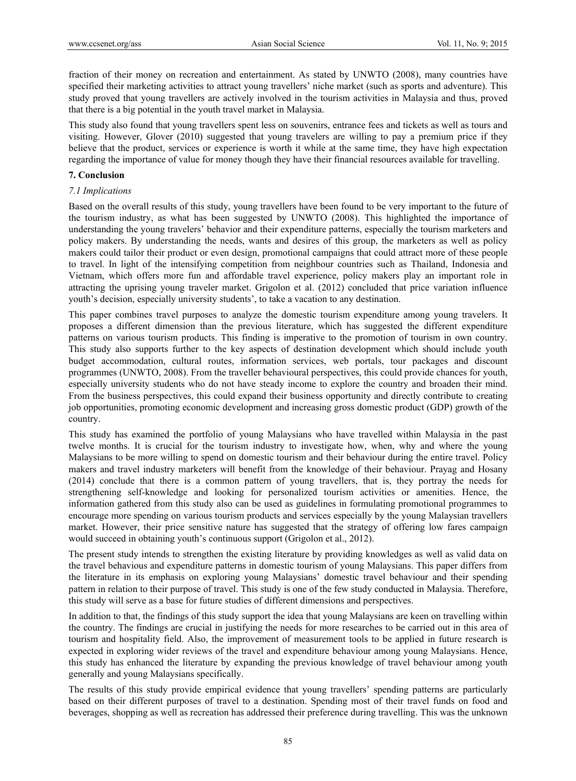fraction of their money on recreation and entertainment. As stated by UNWTO (2008), many countries have specified their marketing activities to attract young travellers' niche market (such as sports and adventure). This study proved that young travellers are actively involved in the tourism activities in Malaysia and thus, proved that there is a big potential in the youth travel market in Malaysia.

This study also found that young travellers spent less on souvenirs, entrance fees and tickets as well as tours and visiting. However, Glover (2010) suggested that young travelers are willing to pay a premium price if they believe that the product, services or experience is worth it while at the same time, they have high expectation regarding the importance of value for money though they have their financial resources available for travelling.

## **7. Conclusion**

## *7.1 Implications*

Based on the overall results of this study, young travellers have been found to be very important to the future of the tourism industry, as what has been suggested by UNWTO (2008). This highlighted the importance of understanding the young travelers' behavior and their expenditure patterns, especially the tourism marketers and policy makers. By understanding the needs, wants and desires of this group, the marketers as well as policy makers could tailor their product or even design, promotional campaigns that could attract more of these people to travel. In light of the intensifying competition from neighbour countries such as Thailand, Indonesia and Vietnam, which offers more fun and affordable travel experience, policy makers play an important role in attracting the uprising young traveler market. Grigolon et al. (2012) concluded that price variation influence youth's decision, especially university students', to take a vacation to any destination.

This paper combines travel purposes to analyze the domestic tourism expenditure among young travelers. It proposes a different dimension than the previous literature, which has suggested the different expenditure patterns on various tourism products. This finding is imperative to the promotion of tourism in own country. This study also supports further to the key aspects of destination development which should include youth budget accommodation, cultural routes, information services, web portals, tour packages and discount programmes (UNWTO, 2008). From the traveller behavioural perspectives, this could provide chances for youth, especially university students who do not have steady income to explore the country and broaden their mind. From the business perspectives, this could expand their business opportunity and directly contribute to creating job opportunities, promoting economic development and increasing gross domestic product (GDP) growth of the country.

This study has examined the portfolio of young Malaysians who have travelled within Malaysia in the past twelve months. It is crucial for the tourism industry to investigate how, when, why and where the young Malaysians to be more willing to spend on domestic tourism and their behaviour during the entire travel. Policy makers and travel industry marketers will benefit from the knowledge of their behaviour. Prayag and Hosany (2014) conclude that there is a common pattern of young travellers, that is, they portray the needs for strengthening self-knowledge and looking for personalized tourism activities or amenities. Hence, the information gathered from this study also can be used as guidelines in formulating promotional programmes to encourage more spending on various tourism products and services especially by the young Malaysian travellers market. However, their price sensitive nature has suggested that the strategy of offering low fares campaign would succeed in obtaining youth's continuous support (Grigolon et al., 2012).

The present study intends to strengthen the existing literature by providing knowledges as well as valid data on the travel behavious and expenditure patterns in domestic tourism of young Malaysians. This paper differs from the literature in its emphasis on exploring young Malaysians' domestic travel behaviour and their spending pattern in relation to their purpose of travel. This study is one of the few study conducted in Malaysia. Therefore, this study will serve as a base for future studies of different dimensions and perspectives.

In addition to that, the findings of this study support the idea that young Malaysians are keen on travelling within the country. The findings are crucial in justifying the needs for more researches to be carried out in this area of tourism and hospitality field. Also, the improvement of measurement tools to be applied in future research is expected in exploring wider reviews of the travel and expenditure behaviour among young Malaysians. Hence, this study has enhanced the literature by expanding the previous knowledge of travel behaviour among youth generally and young Malaysians specifically.

The results of this study provide empirical evidence that young travellers' spending patterns are particularly based on their different purposes of travel to a destination. Spending most of their travel funds on food and beverages, shopping as well as recreation has addressed their preference during travelling. This was the unknown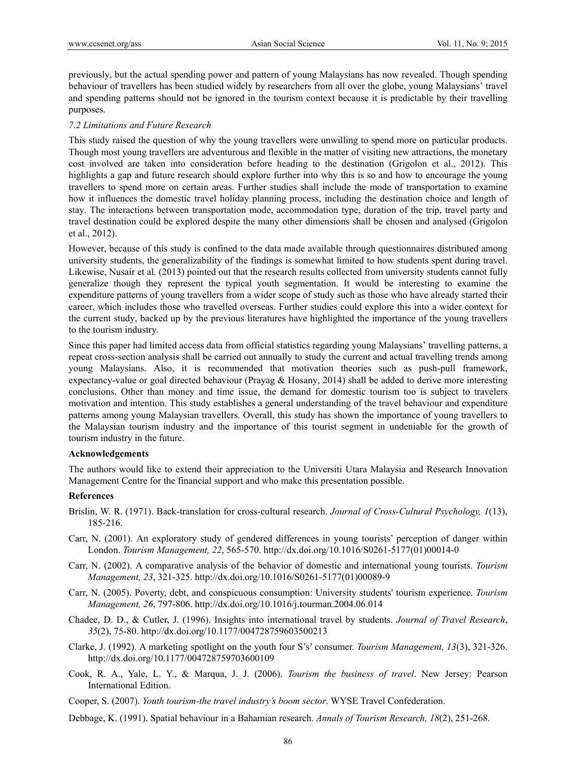previously, but the actual spending power and pattern of young Malaysians has now revealed. Though spending behaviour of travellers has been studied widely by researchers from all over the globe, young Malaysians' travel and spending patterns should not be ignored in the tourism context because it is predictable by their travelling purposes.

#### *7.2 Limitations and Future Research*

This study raised the question of why the young travellers were unwilling to spend more on particular products. Though most young travellers are adventurous and flexible in the matter of visiting new attractions, the monetary cost involved are taken into consideration before heading to the destination (Grigolon et al., 2012). This highlights a gap and future research should explore further into why this is so and how to encourage the young travellers to spend more on certain areas. Further studies shall include the mode of transportation to examine how it influences the domestic travel holiday planning process, including the destination choice and length of stay. The interactions between transportation mode, accommodation type, duration of the trip, travel party and travel destination could be explored despite the many other dimensions shall be chosen and analysed (Grigolon et al., 2012).

However, because of this study is confined to the data made available through questionnaires distributed among university students, the generalizability of the findings is somewhat limited to how students spent during travel. Likewise, Nusair et al. (2013) pointed out that the research results collected from university students cannot fully generalize though they represent the typical youth segmentation. It would be interesting to examine the expenditure patterns of young travellers from a wider scope of study such as those who have already started their career, which includes those who travelled overseas. Further studies could explore this into a wider context for the current study, backed up by the previous literatures have highlighted the importance of the young travellers to the tourism industry.

Since this paper had limited access data from official statistics regarding young Malaysians' travelling patterns, a repeat cross-section analysis shall be carried out annually to study the current and actual travelling trends among young Malaysians. Also, it is recommended that motivation theories such as push-pull framework, expectancy-value or goal directed behaviour (Prayag & Hosany, 2014) shall be added to derive more interesting conclusions. Other than money and time issue, the demand for domestic tourism too is subject to travelers motivation and intention. This study establishes a general understanding of the travel behaviour and expenditure patterns among young Malaysian travellers. Overall, this study has shown the importance of young travellers to the Malaysian tourism industry and the importance of this tourist segment in undeniable for the growth of tourism industry in the future.

# **Acknowledgements**

The authors would like to extend their appreciation to the Universiti Utara Malaysia and Research Innovation Management Centre for the financial support and who make this presentation possible.

#### **References**

- Brislin, W. R. (1971). Back-translation for cross-cultural research. *Journal of Cross-Cultural Psychology, 1*(13), 185-216.
- Carr, N. (2001). An exploratory study of gendered differences in young tourists' perception of danger within London. *Tourism Management, 22*, 565-570. http://dx.doi.org/10.1016/S0261-5177(01)00014-0
- Carr, N. (2002). A comparative analysis of the behavior of domestic and international young tourists. *Tourism Management, 23*, 321-325. http://dx.doi.org/10.1016/S0261-5177(01)00089-9
- Carr, N. (2005). Poverty, debt, and conspicuous consumption: University students' tourism experience. *Tourism Management, 26*, 797-806. http://dx.doi.org/10.1016/j.tourman.2004.06.014
- Chadee, D. D., & Cutler, J. (1996). Insights into international travel by students. *Journal of Travel Research*, *35*(2), 75-80. http://dx.doi.org/10.1177/004728759603500213
- Clarke, J. (1992). A marketing spotlight on the youth four S's' consumer. *Tourism Management, 13*(3), 321-326. http://dx.doi.org/10.1177/004728759703600109
- Cook, R. A., Yale, L. Y., & Marqua, J. J. (2006). *Tourism the business of travel*. New Jersey: Pearson International Edition.
- Cooper, S. (2007). *Youth tourism-the travel industry's boom sector*. WYSE Travel Confederation.
- Debbage, K. (1991). Spatial behaviour in a Bahamian research. *Annals of Tourism Research, 18*(2), 251-268.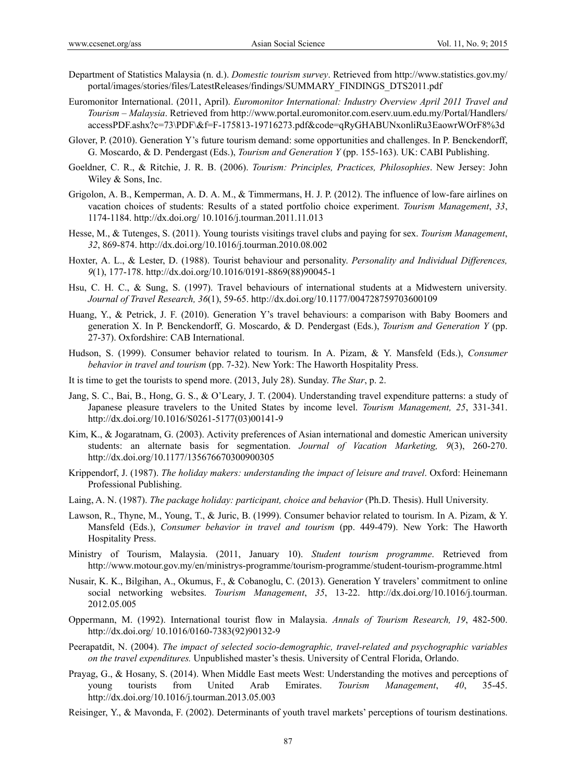- Department of Statistics Malaysia (n. d.). *Domestic tourism survey*. Retrieved from http://www.statistics.gov.my/ portal/images/stories/files/LatestReleases/findings/SUMMARY\_FINDINGS\_DTS2011.pdf
- Euromonitor International. (2011, April). *Euromonitor International: Industry Overview April 2011 Travel and Tourism – Malaysia*. Retrieved from http://www.portal.euromonitor.com.eserv.uum.edu.my/Portal/Handlers/ accessPDF.ashx?c=73\PDF\&f=F-175813-19716273.pdf&code=qRyGHABUNxonliRu3EaowrWOrF8%3d
- Glover, P. (2010). Generation Y's future tourism demand: some opportunities and challenges. In P. Benckendorff, G. Moscardo, & D. Pendergast (Eds.), *Tourism and Generation Y* (pp. 155-163). UK: CABI Publishing.
- Goeldner, C. R., & Ritchie, J. R. B. (2006). *Tourism: Principles, Practices, Philosophies*. New Jersey: John Wiley & Sons, Inc.
- Grigolon, A. B., Kemperman, A. D. A. M., & Timmermans, H. J. P. (2012). The influence of low-fare airlines on vacation choices of students: Results of a stated portfolio choice experiment. *Tourism Management*, *33*, 1174-1184. http://dx.doi.org/ 10.1016/j.tourman.2011.11.013
- Hesse, M., & Tutenges, S. (2011). Young tourists visitings travel clubs and paying for sex. *Tourism Management*, *32*, 869-874. http://dx.doi.org/10.1016/j.tourman.2010.08.002
- Hoxter, A. L., & Lester, D. (1988). Tourist behaviour and personality. *Personality and Individual Differences, 9*(1), 177-178. http://dx.doi.org/10.1016/0191-8869(88)90045-1
- Hsu, C. H. C., & Sung, S. (1997). Travel behaviours of international students at a Midwestern university*. Journal of Travel Research, 36*(1), 59-65. http://dx.doi.org/10.1177/004728759703600109
- Huang, Y., & Petrick, J. F. (2010). Generation Y's travel behaviours: a comparison with Baby Boomers and generation X. In P. Benckendorff, G. Moscardo, & D. Pendergast (Eds.), *Tourism and Generation Y* (pp. 27-37). Oxfordshire: CAB International.
- Hudson, S. (1999). Consumer behavior related to tourism. In A. Pizam, & Y. Mansfeld (Eds.), *Consumer behavior in travel and tourism* (pp. 7-32). New York: The Haworth Hospitality Press.
- It is time to get the tourists to spend more. (2013, July 28). Sunday. *The Star*, p. 2.
- Jang, S. C., Bai, B., Hong, G. S., & O'Leary, J. T. (2004). Understanding travel expenditure patterns: a study of Japanese pleasure travelers to the United States by income level. *Tourism Management, 25*, 331-341. http://dx.doi.org/10.1016/S0261-5177(03)00141-9
- Kim, K., & Jogaratnam, G. (2003). Activity preferences of Asian international and domestic American university students: an alternate basis for segmentation. *Journal of Vacation Marketing, 9*(3), 260-270. http://dx.doi.org/10.1177/135676670300900305
- Krippendorf, J. (1987). *The holiday makers: understanding the impact of leisure and travel*. Oxford: Heinemann Professional Publishing.
- Laing, A. N. (1987). *The package holiday: participant, choice and behavior* (Ph.D. Thesis). Hull University.
- Lawson, R., Thyne, M., Young, T., & Juric, B. (1999). Consumer behavior related to tourism. In A. Pizam, & Y. Mansfeld (Eds.), *Consumer behavior in travel and tourism* (pp. 449-479). New York: The Haworth Hospitality Press.
- Ministry of Tourism, Malaysia. (2011, January 10). *Student tourism programme*. Retrieved from http://www.motour.gov.my/en/ministrys-programme/tourism-programme/student-tourism-programme.html
- Nusair, K. K., Bilgihan, A., Okumus, F., & Cobanoglu, C. (2013). Generation Y travelers' commitment to online social networking websites. *Tourism Management*, *35*, 13-22. http://dx.doi.org/10.1016/j.tourman. 2012.05.005
- Oppermann, M. (1992). International tourist flow in Malaysia. *Annals of Tourism Research, 19*, 482-500. http://dx.doi.org/ 10.1016/0160-7383(92)90132-9
- Peerapatdit, N. (2004). *The impact of selected socio-demographic, travel-related and psychographic variables on the travel expenditures.* Unpublished master's thesis. University of Central Florida, Orlando.
- Prayag, G., & Hosany, S. (2014). When Middle East meets West: Understanding the motives and perceptions of young tourists from United Arab Emirates. *Tourism Management*, *40*, 35-45. http://dx.doi.org/10.1016/j.tourman.2013.05.003
- Reisinger, Y., & Mavonda, F. (2002). Determinants of youth travel markets' perceptions of tourism destinations.